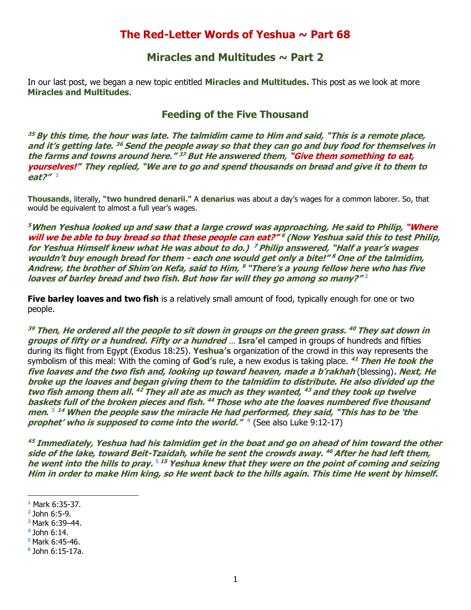## **The Red-Letter Words of Yeshua ~ Part 68**

## **Miracles and Multitudes ~ Part 2**

In our last post, we began a new topic entitled **Miracles and Multitudes.** This post as we look at more **Miracles and Multitudes**.

## **Feeding of the Five Thousand**

**<sup>35</sup> By this time, the hour was late. The talmidim came to Him and said, "This is a remote place, and it's getting late. <sup>36</sup> Send the people away so that they can go and buy food for themselves in the farms and towns around here." <sup>37</sup> But He answered them, "Give them something to eat, yourselves!" They replied, "We are to go and spend thousands on bread and give it to them to eat?" 1**

**Thousands**, literally, **"two hundred denarii."** A **denarius** was about a day's wages for a common laborer. So, that would be equivalent to almost a full year's wages.

**<sup>5</sup>When Yeshua looked up and saw that a large crowd was approaching, He said to Philip, "Where will we be able to buy bread so that these people can eat?" 6 (Now Yeshua said this to test Philip, for Yeshua Himself knew what He was about to do.) <sup>7</sup> Philip answered, "Half a year's wages wouldn't buy enough bread for them - each one would get only a bite!" <sup>8</sup> One of the talmidim, Andrew, the brother of Shim'on Kefa, said to Him, <sup>9</sup> "There's a young fellow here who has five 2 loaves of barley bread and two fish. But how far will they go among so many?"** 

**Five barley loaves and two fish** is a relatively small amount of food, typically enough for one or two people.

**<sup>39</sup> Then, He ordered all the people to sit down in groups on the green grass. <sup>40</sup> They sat down in groups of fifty or a hundred. Fifty or a hundred** … **Isra'el** camped in groups of hundreds and fifties during its flight from Egypt (Exodus 18:25). **Yeshua's** organization of the crowd in this way represents the symbolism of this meal: With the coming of **God's** rule, a new exodus is taking place. **<sup>41</sup> Then He took the five loaves and the two fish and, looking up toward heaven, made a b'rakhah** (blessing)**. Next, He broke up the loaves and began giving them to the talmidim to distribute. He also divided up the two fish among them all. <sup>42</sup> They all ate as much as they wanted, <sup>43</sup> and they took up twelve baskets full of the broken pieces and fish. <sup>44</sup> Those who ate the loaves numbered five thousand men. <sup>3</sup> <sup>14</sup> When the people saw the miracle He had performed, they said, "This has to be 'the prophet' who is supposed to come into the world." 4** (See also Luke 9:12-17)

**<sup>45</sup> Immediately, Yeshua had his talmidim get in the boat and go on ahead of him toward the other side of the lake, toward Beit-Tzaidah, while he sent the crowds away. <sup>46</sup> After he had left them, <sup>5</sup> he went into the hills to pray. <sup>15</sup> Yeshua knew that they were on the point of coming and seizing Him in order to make Him king, so He went back to the hills again. This time He went by himself.** 

**<sup>5</sup>**Mark 6:45-46.

**<sup>1</sup>** Mark 6:35-37.

**<sup>2</sup>** John 6:5-9.

**<sup>3</sup>**Mark 6:39–44.

**<sup>4</sup>**John 6:14.

**<sup>6</sup>** John 6:15-17a.